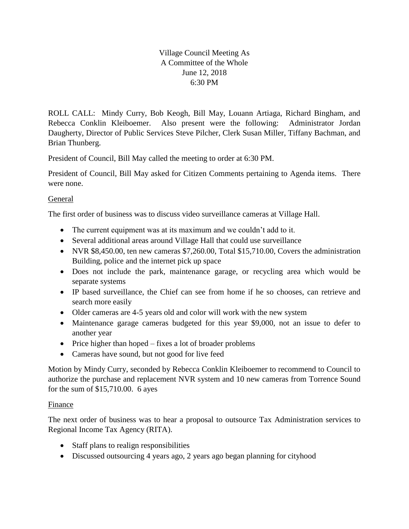## Village Council Meeting As A Committee of the Whole June 12, 2018 6:30 PM

ROLL CALL: Mindy Curry, Bob Keogh, Bill May, Louann Artiaga, Richard Bingham, and Rebecca Conklin Kleiboemer. Also present were the following: Administrator Jordan Daugherty, Director of Public Services Steve Pilcher, Clerk Susan Miller, Tiffany Bachman, and Brian Thunberg.

President of Council, Bill May called the meeting to order at 6:30 PM.

President of Council, Bill May asked for Citizen Comments pertaining to Agenda items. There were none.

## General

The first order of business was to discuss video surveillance cameras at Village Hall.

- The current equipment was at its maximum and we couldn't add to it.
- Several additional areas around Village Hall that could use surveillance
- NVR \$8,450.00, ten new cameras \$7,260.00, Total \$15,710.00, Covers the administration Building, police and the internet pick up space
- Does not include the park, maintenance garage, or recycling area which would be separate systems
- IP based surveillance, the Chief can see from home if he so chooses, can retrieve and search more easily
- Older cameras are 4-5 years old and color will work with the new system
- Maintenance garage cameras budgeted for this year \$9,000, not an issue to defer to another year
- $\bullet$  Price higher than hoped fixes a lot of broader problems
- Cameras have sound, but not good for live feed

Motion by Mindy Curry, seconded by Rebecca Conklin Kleiboemer to recommend to Council to authorize the purchase and replacement NVR system and 10 new cameras from Torrence Sound for the sum of \$15,710.00. 6 ayes

## Finance

The next order of business was to hear a proposal to outsource Tax Administration services to Regional Income Tax Agency (RITA).

- Staff plans to realign responsibilities
- Discussed outsourcing 4 years ago, 2 years ago began planning for cityhood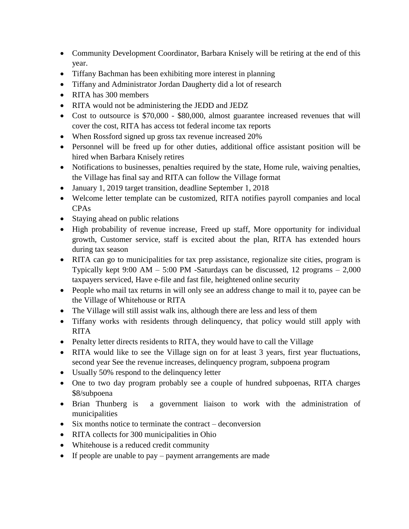- Community Development Coordinator, Barbara Knisely will be retiring at the end of this year.
- Tiffany Bachman has been exhibiting more interest in planning
- Tiffany and Administrator Jordan Daugherty did a lot of research
- RITA has 300 members
- RITA would not be administering the JEDD and JEDZ
- Cost to outsource is \$70,000 \$80,000, almost guarantee increased revenues that will cover the cost, RITA has access tot federal income tax reports
- When Rossford signed up gross tax revenue increased 20%
- Personnel will be freed up for other duties, additional office assistant position will be hired when Barbara Knisely retires
- Notifications to businesses, penalties required by the state, Home rule, waiving penalties, the Village has final say and RITA can follow the Village format
- January 1, 2019 target transition, deadline September 1, 2018
- Welcome letter template can be customized, RITA notifies payroll companies and local CPAs
- Staying ahead on public relations
- High probability of revenue increase, Freed up staff, More opportunity for individual growth, Customer service, staff is excited about the plan, RITA has extended hours during tax season
- RITA can go to municipalities for tax prep assistance, regionalize site cities, program is Typically kept 9:00 AM – 5:00 PM -Saturdays can be discussed, 12 programs – 2,000 taxpayers serviced, Have e-file and fast file, heightened online security
- People who mail tax returns in will only see an address change to mail it to, payee can be the Village of Whitehouse or RITA
- The Village will still assist walk ins, although there are less and less of them
- Tiffany works with residents through delinquency, that policy would still apply with RITA
- Penalty letter directs residents to RITA, they would have to call the Village
- RITA would like to see the Village sign on for at least 3 years, first year fluctuations, second year See the revenue increases, delinquency program, subpoena program
- Usually 50% respond to the delinquency letter
- One to two day program probably see a couple of hundred subpoenas, RITA charges \$8/subpoena
- Brian Thunberg is a government liaison to work with the administration of municipalities
- $\bullet$  Six months notice to terminate the contract deconversion
- RITA collects for 300 municipalities in Ohio
- Whitehouse is a reduced credit community
- $\bullet$  If people are unable to pay payment arrangements are made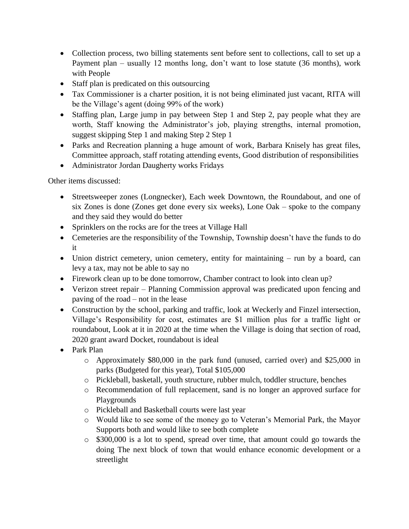- Collection process, two billing statements sent before sent to collections, call to set up a Payment plan – usually 12 months long, don't want to lose statute (36 months), work with People
- Staff plan is predicated on this outsourcing
- Tax Commissioner is a charter position, it is not being eliminated just vacant, RITA will be the Village's agent (doing 99% of the work)
- Staffing plan, Large jump in pay between Step 1 and Step 2, pay people what they are worth, Staff knowing the Administrator's job, playing strengths, internal promotion, suggest skipping Step 1 and making Step 2 Step 1
- Parks and Recreation planning a huge amount of work, Barbara Knisely has great files, Committee approach, staff rotating attending events, Good distribution of responsibilities
- Administrator Jordan Daugherty works Fridays

Other items discussed:

- Streetsweeper zones (Longnecker), Each week Downtown, the Roundabout, and one of six Zones is done (Zones get done every six weeks), Lone Oak – spoke to the company and they said they would do better
- Sprinklers on the rocks are for the trees at Village Hall
- Cemeteries are the responsibility of the Township, Township doesn't have the funds to do it
- Union district cemetery, union cemetery, entity for maintaining run by a board, can levy a tax, may not be able to say no
- Firework clean up to be done tomorrow, Chamber contract to look into clean up?
- Verizon street repair Planning Commission approval was predicated upon fencing and paving of the road – not in the lease
- Construction by the school, parking and traffic, look at Weckerly and Finzel intersection, Village's Responsibility for cost, estimates are \$1 million plus for a traffic light or roundabout, Look at it in 2020 at the time when the Village is doing that section of road, 2020 grant award Docket, roundabout is ideal
- Park Plan
	- o Approximately \$80,000 in the park fund (unused, carried over) and \$25,000 in parks (Budgeted for this year), Total \$105,000
	- o Pickleball, basketall, youth structure, rubber mulch, toddler structure, benches
	- o Recommendation of full replacement, sand is no longer an approved surface for Playgrounds
	- o Pickleball and Basketball courts were last year
	- o Would like to see some of the money go to Veteran's Memorial Park, the Mayor Supports both and would like to see both complete
	- o \$300,000 is a lot to spend, spread over time, that amount could go towards the doing The next block of town that would enhance economic development or a streetlight